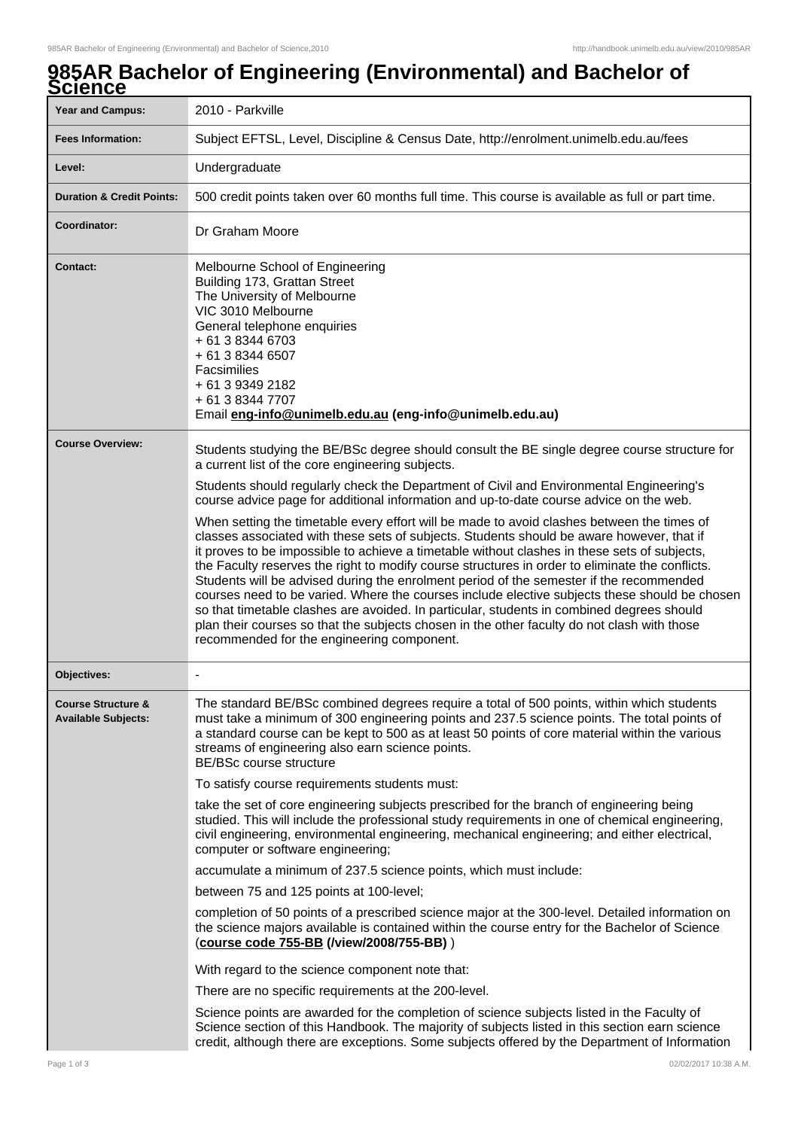## **985AR Bachelor of Engineering (Environmental) and Bachelor of Science**

| <b>Year and Campus:</b>                                     | 2010 - Parkville                                                                                                                                                                                                                                                                                                                                                                                                                                                                                                                                                                                                                                                                                                                                                                                                                 |
|-------------------------------------------------------------|----------------------------------------------------------------------------------------------------------------------------------------------------------------------------------------------------------------------------------------------------------------------------------------------------------------------------------------------------------------------------------------------------------------------------------------------------------------------------------------------------------------------------------------------------------------------------------------------------------------------------------------------------------------------------------------------------------------------------------------------------------------------------------------------------------------------------------|
| <b>Fees Information:</b>                                    | Subject EFTSL, Level, Discipline & Census Date, http://enrolment.unimelb.edu.au/fees                                                                                                                                                                                                                                                                                                                                                                                                                                                                                                                                                                                                                                                                                                                                             |
| Level:                                                      | Undergraduate                                                                                                                                                                                                                                                                                                                                                                                                                                                                                                                                                                                                                                                                                                                                                                                                                    |
| <b>Duration &amp; Credit Points:</b>                        | 500 credit points taken over 60 months full time. This course is available as full or part time.                                                                                                                                                                                                                                                                                                                                                                                                                                                                                                                                                                                                                                                                                                                                 |
| Coordinator:                                                | Dr Graham Moore                                                                                                                                                                                                                                                                                                                                                                                                                                                                                                                                                                                                                                                                                                                                                                                                                  |
| <b>Contact:</b>                                             | Melbourne School of Engineering<br>Building 173, Grattan Street<br>The University of Melbourne<br>VIC 3010 Melbourne<br>General telephone enquiries<br>+ 61 3 8344 6703<br>+ 61 3 8344 6507<br>Facsimilies<br>+ 61 3 9349 2182<br>+ 61 3 8344 7707<br>Email eng-info@unimelb.edu.au (eng-info@unimelb.edu.au)                                                                                                                                                                                                                                                                                                                                                                                                                                                                                                                    |
| <b>Course Overview:</b>                                     | Students studying the BE/BSc degree should consult the BE single degree course structure for<br>a current list of the core engineering subjects.<br>Students should regularly check the Department of Civil and Environmental Engineering's<br>course advice page for additional information and up-to-date course advice on the web.                                                                                                                                                                                                                                                                                                                                                                                                                                                                                            |
|                                                             | When setting the timetable every effort will be made to avoid clashes between the times of<br>classes associated with these sets of subjects. Students should be aware however, that if<br>it proves to be impossible to achieve a timetable without clashes in these sets of subjects,<br>the Faculty reserves the right to modify course structures in order to eliminate the conflicts.<br>Students will be advised during the enrolment period of the semester if the recommended<br>courses need to be varied. Where the courses include elective subjects these should be chosen<br>so that timetable clashes are avoided. In particular, students in combined degrees should<br>plan their courses so that the subjects chosen in the other faculty do not clash with those<br>recommended for the engineering component. |
| <b>Objectives:</b>                                          |                                                                                                                                                                                                                                                                                                                                                                                                                                                                                                                                                                                                                                                                                                                                                                                                                                  |
| <b>Course Structure &amp;</b><br><b>Available Subjects:</b> | The standard BE/BSc combined degrees require a total of 500 points, within which students<br>must take a minimum of 300 engineering points and 237.5 science points. The total points of<br>a standard course can be kept to 500 as at least 50 points of core material within the various<br>streams of engineering also earn science points.<br>BE/BSc course structure<br>To satisfy course requirements students must:                                                                                                                                                                                                                                                                                                                                                                                                       |
|                                                             |                                                                                                                                                                                                                                                                                                                                                                                                                                                                                                                                                                                                                                                                                                                                                                                                                                  |
|                                                             | take the set of core engineering subjects prescribed for the branch of engineering being<br>studied. This will include the professional study requirements in one of chemical engineering,<br>civil engineering, environmental engineering, mechanical engineering; and either electrical,<br>computer or software engineering;                                                                                                                                                                                                                                                                                                                                                                                                                                                                                                  |
|                                                             | accumulate a minimum of 237.5 science points, which must include:                                                                                                                                                                                                                                                                                                                                                                                                                                                                                                                                                                                                                                                                                                                                                                |
|                                                             | between 75 and 125 points at 100-level;                                                                                                                                                                                                                                                                                                                                                                                                                                                                                                                                                                                                                                                                                                                                                                                          |
|                                                             | completion of 50 points of a prescribed science major at the 300-level. Detailed information on<br>the science majors available is contained within the course entry for the Bachelor of Science<br>(course code 755-BB (/view/2008/755-BB))                                                                                                                                                                                                                                                                                                                                                                                                                                                                                                                                                                                     |
|                                                             | With regard to the science component note that:                                                                                                                                                                                                                                                                                                                                                                                                                                                                                                                                                                                                                                                                                                                                                                                  |
|                                                             | There are no specific requirements at the 200-level.                                                                                                                                                                                                                                                                                                                                                                                                                                                                                                                                                                                                                                                                                                                                                                             |
|                                                             | Science points are awarded for the completion of science subjects listed in the Faculty of<br>Science section of this Handbook. The majority of subjects listed in this section earn science<br>credit, although there are exceptions. Some subjects offered by the Department of Information                                                                                                                                                                                                                                                                                                                                                                                                                                                                                                                                    |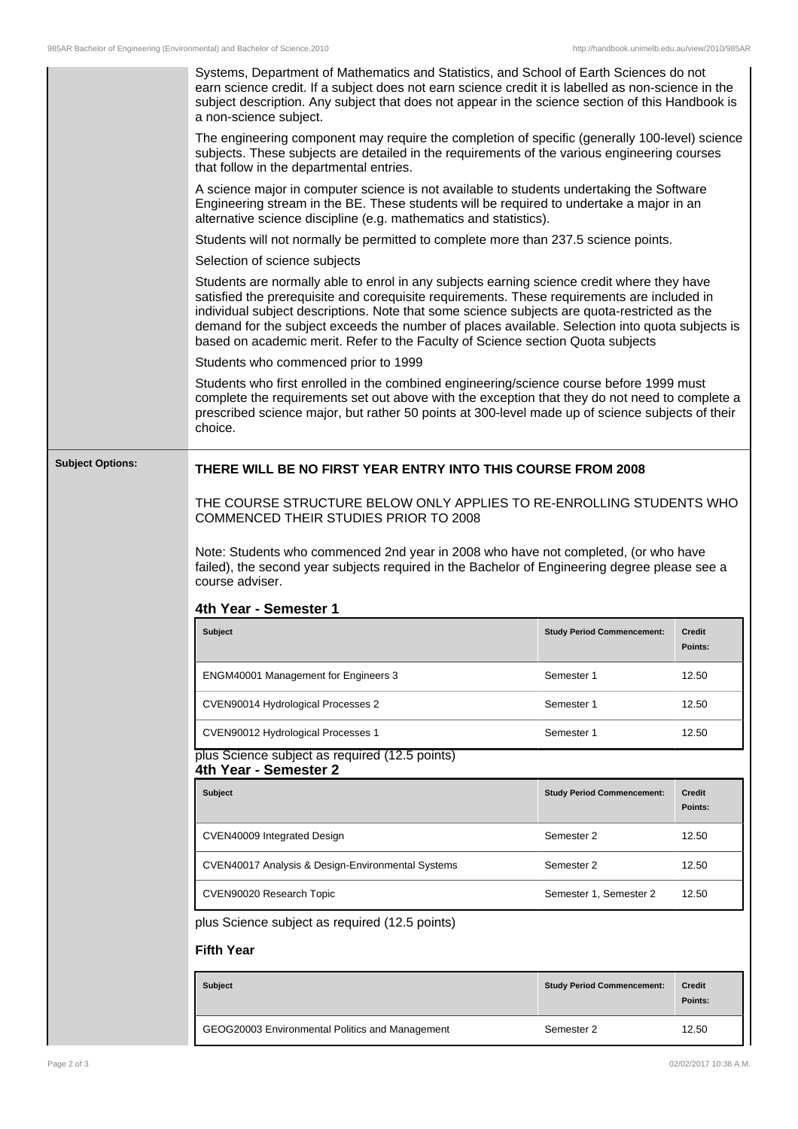|                         | Systems, Department of Mathematics and Statistics, and School of Earth Sciences do not<br>earn science credit. If a subject does not earn science credit it is labelled as non-science in the<br>subject description. Any subject that does not appear in the science section of this Handbook is<br>a non-science subject.                                                                                                                                                     |                                   |                          |  |
|-------------------------|---------------------------------------------------------------------------------------------------------------------------------------------------------------------------------------------------------------------------------------------------------------------------------------------------------------------------------------------------------------------------------------------------------------------------------------------------------------------------------|-----------------------------------|--------------------------|--|
|                         | The engineering component may require the completion of specific (generally 100-level) science<br>subjects. These subjects are detailed in the requirements of the various engineering courses<br>that follow in the departmental entries.                                                                                                                                                                                                                                      |                                   |                          |  |
|                         | A science major in computer science is not available to students undertaking the Software<br>Engineering stream in the BE. These students will be required to undertake a major in an<br>alternative science discipline (e.g. mathematics and statistics).                                                                                                                                                                                                                      |                                   |                          |  |
|                         | Students will not normally be permitted to complete more than 237.5 science points.                                                                                                                                                                                                                                                                                                                                                                                             |                                   |                          |  |
|                         | Selection of science subjects                                                                                                                                                                                                                                                                                                                                                                                                                                                   |                                   |                          |  |
|                         | Students are normally able to enrol in any subjects earning science credit where they have<br>satisfied the prerequisite and corequisite requirements. These requirements are included in<br>individual subject descriptions. Note that some science subjects are quota-restricted as the<br>demand for the subject exceeds the number of places available. Selection into quota subjects is<br>based on academic merit. Refer to the Faculty of Science section Quota subjects |                                   |                          |  |
|                         | Students who commenced prior to 1999                                                                                                                                                                                                                                                                                                                                                                                                                                            |                                   |                          |  |
|                         | Students who first enrolled in the combined engineering/science course before 1999 must<br>complete the requirements set out above with the exception that they do not need to complete a<br>prescribed science major, but rather 50 points at 300-level made up of science subjects of their<br>choice.                                                                                                                                                                        |                                   |                          |  |
| <b>Subject Options:</b> | THERE WILL BE NO FIRST YEAR ENTRY INTO THIS COURSE FROM 2008<br>THE COURSE STRUCTURE BELOW ONLY APPLIES TO RE-ENROLLING STUDENTS WHO<br>COMMENCED THEIR STUDIES PRIOR TO 2008<br>Note: Students who commenced 2nd year in 2008 who have not completed, (or who have<br>failed), the second year subjects required in the Bachelor of Engineering degree please see a<br>course adviser.<br>4th Year - Semester 1                                                                |                                   |                          |  |
|                         | <b>Subject</b>                                                                                                                                                                                                                                                                                                                                                                                                                                                                  | <b>Study Period Commencement:</b> | <b>Credit</b><br>Points: |  |
|                         | ENGM40001 Management for Engineers 3                                                                                                                                                                                                                                                                                                                                                                                                                                            | Semester 1                        | 12.50                    |  |
|                         | CVEN90014 Hydrological Processes 2                                                                                                                                                                                                                                                                                                                                                                                                                                              | Semester 1                        | 12.50                    |  |
|                         | CVEN90012 Hydrological Processes 1                                                                                                                                                                                                                                                                                                                                                                                                                                              | Semester 1                        | 12.50                    |  |
|                         | plus Science subject as required (12.5 points)<br>4th Year - Semester 2                                                                                                                                                                                                                                                                                                                                                                                                         |                                   |                          |  |
|                         | <b>Subject</b>                                                                                                                                                                                                                                                                                                                                                                                                                                                                  | <b>Study Period Commencement:</b> | Credit<br>Points:        |  |
|                         | CVEN40009 Integrated Design                                                                                                                                                                                                                                                                                                                                                                                                                                                     | Semester 2                        | 12.50                    |  |
|                         | CVEN40017 Analysis & Design-Environmental Systems                                                                                                                                                                                                                                                                                                                                                                                                                               | Semester 2                        | 12.50                    |  |
|                         | CVEN90020 Research Topic                                                                                                                                                                                                                                                                                                                                                                                                                                                        | Semester 1, Semester 2            | 12.50                    |  |
|                         | plus Science subject as required (12.5 points)                                                                                                                                                                                                                                                                                                                                                                                                                                  |                                   |                          |  |
| <b>Fifth Year</b>       |                                                                                                                                                                                                                                                                                                                                                                                                                                                                                 |                                   |                          |  |
|                         | <b>Subject</b>                                                                                                                                                                                                                                                                                                                                                                                                                                                                  | <b>Study Period Commencement:</b> | <b>Credit</b><br>Points: |  |

GEOG20003 Environmental Politics and Management Semester 2 32.50